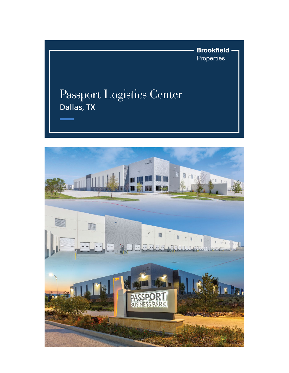**Brookfield** Properties

## Passport Logistics Center Dallas, TX

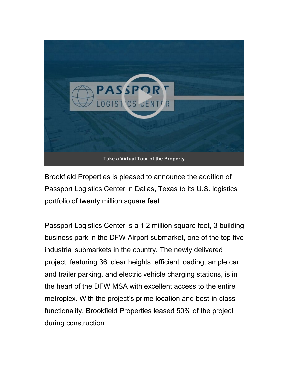

Brookfield Properties is pleased to announce the addition of Passport Logistics Center in Dallas, Texas to its U.S. logistics portfolio of twenty million square feet.

Passport Logistics Center is a 1.2 million square foot, 3-building business park in the DFW Airport submarket, one of the top five industrial submarkets in the country. The newly delivered project, featuring 36' clear heights, efficient loading, ample car and trailer parking, and electric vehicle charging stations, is in the heart of the DFW MSA with excellent access to the entire metroplex. With the project's prime location and best-in-class functionality, Brookfield Properties leased 50% of the project during construction.